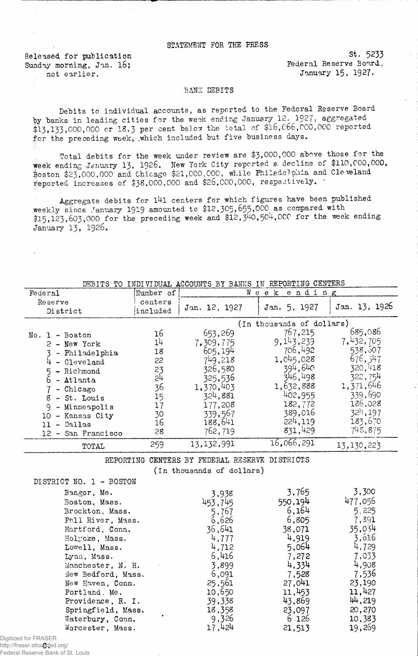## STATEMENT FOR THE PRESS

Released, for publication Sunday morning, Jan. 16; not earlier.

St. 5233 Federal Reserve Board, January 15, 1927.

## BANK DEBITS

Debits to individual accounts, as reported to the Federal Reserve Board by banks in leading cities for the week ending January 12. 1927, aggregated  $$13,133,000,000$  or  $18.3$  per cent below the total of  $$16,066,000,000$  reported for the preceding week, which included but five business days.

Total debits for the week under review are \$3 ,000,000 above those for the week ending January 13» 1926. New York City reported a decline of \$110,000,000, Boston \$23,000,000 and Chicago \$21,000,000. while Philadelphia and Cleveland reported increases of \$38,000,000 and \$26,000,000, respectively.

Aggregate debits for l4l centers for which figures have been published weekly since January 1919 amounted to \$12,305,655,000 as compared with  $$15,123,603,000$  for the preceding week and  $$12,540,504,000$  for the week ending January 13, 1926.

| متتشيد                  |                 | TO TEST ATTORM WOODGED DI DREED IN TOTOTITE OPILISTIC |                           |                        |
|-------------------------|-----------------|-------------------------------------------------------|---------------------------|------------------------|
| Federal                 | Number of       |                                                       | Week ending               |                        |
| Reserve                 | centers         |                                                       |                           |                        |
| District                | included        | Jan. 12, 1927                                         | Jan. 5, 1927              | Jan. 13, 1926          |
|                         |                 |                                                       | (In thousands of dollars) |                        |
| $No. 1 - Boston$        | 16              | 653,269                                               | 767,215                   | 685,086                |
|                         | 1 <sup>1</sup>  | 7,309,775                                             | 9, 143, 239               | 7,432,705              |
| 2 - New York            | 18              | 605,194                                               | 706,492                   | 538,507                |
| 3 - Philadelphia        | 22              | 749,218                                               | 1,045,028                 | 676, 547               |
| $4 - C1$ eveland        | 23              | 326,580                                               | 394,640                   | 320,418                |
| 5 - Richmond            | $2\overline{1}$ | 325,536                                               | 346,498                   | 322,754                |
| $6 -$ Atlanta           |                 | 1,370,403                                             | 1,632,888                 | 1,371,646              |
| $7$ - Chicago           | 36              | 324,881                                               | 402,955                   | 339,690                |
| $8 - St.$ Louis         | 15              |                                                       | 182,772                   | 186,028                |
| 9 - Minneapolis         | 17              | 177,208                                               | 389,016                   | 32 <sup>1</sup> 4, 197 |
| 10 - Kansas City        | 30              | 339,567                                               | 224,119                   | 183,670                |
| $11 - $ Dallas          | 16              | 188,641                                               | 831,429                   | 748,875                |
| 12 - San Francisco      | 28              | 762,719                                               |                           |                        |
| TOTAL                   | 259             | 13,132,991                                            | 16,066,291                | 13, 130, 223           |
|                         |                 | REPORTING CENTERS BY FEDERAL RESERVE DISTRICTS        |                           |                        |
|                         |                 | (In thousands of dollars)                             |                           |                        |
| DISTRICT NO. 1 - BOSTON |                 |                                                       |                           |                        |
| Bangor, Me.             |                 |                                                       | 3,765                     | 3,300                  |
|                         |                 | 3,938                                                 | 550,194                   | 477,056                |
| Boston, Mass.           |                 | 453,745                                               | 6,164                     | 5.225                  |
| Brockton, Mass.         |                 | 5,767                                                 |                           |                        |
| Fall River, Mass.       |                 | 6,626                                                 | 6,805                     | 7,391                  |
| Hartford, Conn.         |                 | 36,641                                                | 38,071                    | 35,034                 |
| Holyoke, Mass.          |                 | 4,777                                                 | 4,919                     | 3,616                  |
| Lowell, Mass.           |                 | 4,712                                                 | 5,064                     | 4,729                  |
| Lynn, Mass.             |                 | 6,416                                                 | 7,272                     | 7,033                  |
| Manchester, N. H.       |                 | 3,899                                                 | 4,334                     | 4,908                  |
| New Bedford, Mass.      |                 | 6,091                                                 | 7,528                     | 7,536                  |
| New Haven, Conn.        |                 | 25,561                                                | 27,041                    | 23,190                 |
| Portland, Me.           |                 | 10,650                                                | 11,453                    | 11,427                 |
| Providence, R. I.       |                 | 39,338                                                | 43,869                    | 44,219                 |
| Springfield, Mass.      |                 | 18,358                                                | 23,097                    | 20,270                 |
| Waterbury, Conn.        |                 | 9,326                                                 | 6 126                     | 10,383                 |
| Worcester, Mass.        |                 | 17,424                                                | 21,513                    | 19,269                 |

DEBITS TO INDIVIDUAL ACCOUNTS BY BANKS IN REPORTING CENTERS

http://fraser.stlouisfed.org/ Digitized for FRASER Federal Reserve Bank of St. Louis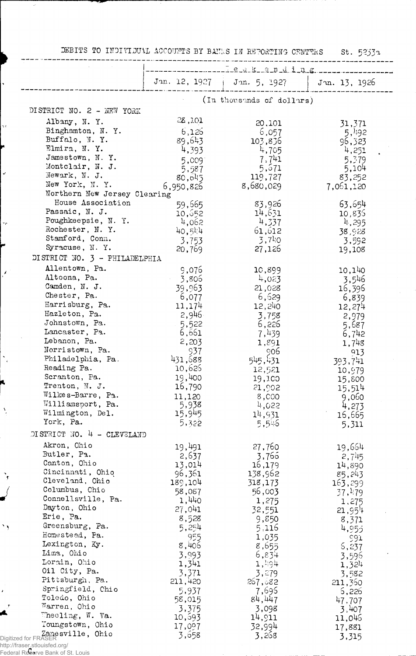DEBITS TO INDIVIDUAL ACCOUNTS BY BANKS IN REPORTING CENTTKS St. 5233a

|                                        | e.e.k.e.n.d.i.n.g.           |                           |                    |
|----------------------------------------|------------------------------|---------------------------|--------------------|
|                                        | Jan. 12, 1927   Jan. 5, 1927 |                           | Jun. 13, 1926      |
|                                        |                              | (In thousands of dollars) |                    |
| DISTRICT NO. 2 - NEW YORK              |                              |                           |                    |
| Albany, N.Y.                           | 28,101                       | 20,101                    | 31,371             |
| Binghamton, N. Y.                      | 6,126                        | 6,057                     | 5,492              |
| Buffalo, N.Y.                          | 89,643                       | 103,836                   | 96,323             |
| Elmira, N.Y.                           | 4,393                        | 4,705                     | 4,251              |
| Jamestown, N.Y.                        | 5,009                        | 7,741                     | 5,379              |
| Montclair, N. J.                       | 5,587                        | 5,671                     | 5,104              |
| Newark, N. J.                          | 80,645                       | 119,727                   | 83,252             |
| New York, N.Y.                         | 6,950,826                    | 8,680,029                 | 7,061,120          |
| Northern New Jersey Clearing           |                              |                           |                    |
| House Association                      | 59,665                       | 83,926                    | 63,654             |
| Passaic, N. J.                         | 10,652                       | 14,631                    | 10,835             |
| Poughkeepsie, N. Y.<br>Rochester, N.Y. | 4,062                        | 4,337                     | <sup>4</sup> , 295 |
| Stamford, Conn.                        | 40,514                       | 61,612                    | 38,928             |
| Syracuse, N.Y.                         | 3,753                        | 3,7!0                     | 3,592              |
|                                        | 20,769                       | 27,126                    | 19,108             |
| DI STRICT NO. 3 - PHILADELPHIA         |                              |                           |                    |
| Allentown, Pa.                         | 9,076                        | 10,899                    | 10,140             |
| Altoona, Pa.                           | - 3,806                      | 4,023                     | 3,546              |
| Camden, N. J.                          | 39,963                       | 21,028                    | 16,396             |
| Chester, Pa.                           | 6,077                        | 6,629                     | 6,839              |
| Harrisburg, Pa.                        | 11,174                       | 12,240                    | 12,274             |
| Hazleton, Pa.<br>Johnstown, Pa.        | 2,946                        | 3,758                     | 2,979              |
| Lancaster, Pa.                         | 5,522                        | 6,226                     | 5,687              |
| Lebanon, Pa.                           | 6,661                        | 7,439                     | 6,742              |
| Norristown, Pa.                        | 2,203<br>937                 | 1,891                     | 1,748              |
| Philadelphia, Pa.                      | 431,688                      | -906<br>545,431           | 913                |
| Reading Pa.                            | 10,625                       | 12,521                    | 393,741            |
| Scranton, Pa.                          | 19,400                       | 19,100                    | 10,979<br>15,800   |
| Trenton, N. J.                         | 16,790                       | 21,902                    | 15,514             |
| Wilkes-Barre, Pa.                      | 11,120                       | 8,000                     | 9,060              |
| Williamsport, Pa.                      | 5,938                        | 4,022                     | 4,273              |
| Wilmington, Del.                       | 15,945                       | 14,931                    | 16,665             |
| York, Pa.                              | 5,322                        | 5,546                     | 5,311              |
| DISTRICT NO. 4 - CLEVELAND             |                              |                           |                    |
| Akron, Chio                            | 19,491                       | 27,760                    | 19,664             |
| Butler, Pa.                            | 2,637                        | 3,766                     | 2,745              |
| Canton, Ohio                           | 13,014                       | 16,179                    | 14,890             |
| Cincinnati, Ohio                       | 96,361                       | 138,962                   | 85,243             |
| Cleveland, Ohio                        | 189,104                      | 318,173                   | 163,299            |
| Columbus, Chio<br>Connellsville, Pa.   | 58,087                       | 56,003                    | 37,479             |
| Dayton, Ohio                           | 1,440                        | 1,275                     | 1,275              |
| Erie, Pa.                              | 27,041                       | 32,551                    | 21,954             |
| Greensburg, Pa.                        | 8,528                        | 9,850                     | 8,371              |
| Homestead, Pa.                         | 5,254                        | 5,116                     | 4,955              |
| Lexington, Ky.                         | 955                          | 1,035                     | 637                |
| Lima, Ohio                             | 8,406                        | 8,655                     | 5,237              |
| Lorain, Ohio                           | 3,993<br>1,341               | 6,834<br>$1, \frac{1}{2}$ | 3,596              |
| Oil City, Pa.                          | 3,371                        | 3,279                     | 1,324              |
| Pittsburgh, Pa.                        | 211,420                      | 267,682                   | 3,582              |
| Springfield, Chio                      | 5,937                        | 7,695                     | 211,360<br>6,226   |
| Toledo, Ohio                           | 58,015                       | 84,447                    | 47,707             |
| Warren, Ohio                           | 3,375                        | 3,098                     | 3,407              |
|                                        |                              |                           |                    |
| Wheeling, $W.$ Va.                     |                              |                           |                    |
| Youngstown, Ohio                       | 10,693<br>17,097             | 14,911<br>32,994          | 11,046<br>17,881   |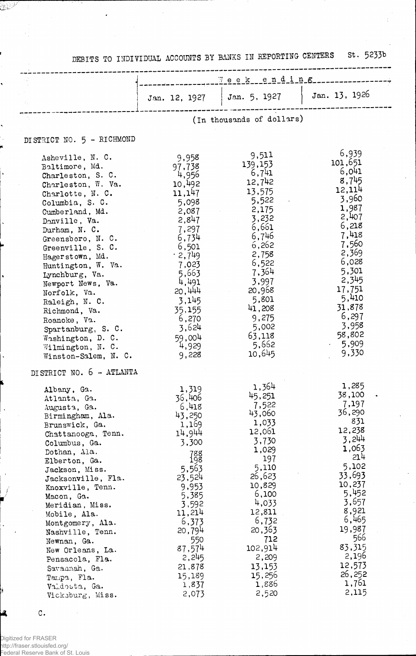DEBITS TO INDIVIDUAL ACCOUNTS BY BANKS IN REPORTING CENTERS St. 5233b

|                                                                                                                                                                                                                                                                                                                                                                                                                                                                      | $\forall$ e e k e n d i n $\epsilon$                                                                                                                                                                                    |                                                                                                                                                                                                                             |                                                                                                                                                                                                                         |
|----------------------------------------------------------------------------------------------------------------------------------------------------------------------------------------------------------------------------------------------------------------------------------------------------------------------------------------------------------------------------------------------------------------------------------------------------------------------|-------------------------------------------------------------------------------------------------------------------------------------------------------------------------------------------------------------------------|-----------------------------------------------------------------------------------------------------------------------------------------------------------------------------------------------------------------------------|-------------------------------------------------------------------------------------------------------------------------------------------------------------------------------------------------------------------------|
|                                                                                                                                                                                                                                                                                                                                                                                                                                                                      | Jan. 12, 1927                                                                                                                                                                                                           | Jan. 5, 1927                                                                                                                                                                                                                | Jan. 13, 1926                                                                                                                                                                                                           |
|                                                                                                                                                                                                                                                                                                                                                                                                                                                                      |                                                                                                                                                                                                                         | (In thousands of dollars)                                                                                                                                                                                                   |                                                                                                                                                                                                                         |
| DISTRICT NO. 5 - RICHMOND                                                                                                                                                                                                                                                                                                                                                                                                                                            |                                                                                                                                                                                                                         |                                                                                                                                                                                                                             |                                                                                                                                                                                                                         |
| Asheville, N. C.<br>Baltimore, Md.<br>Charleston, S. C.<br>Charleston, W. Va.<br>Charlotte, N. C.<br>Columbia, S. C.<br>Cumberland, Md.<br>Danville, Va.<br>Durham, N. C.<br>Greensboro, N. C.<br>Greenville, S. C.<br>Hagerstown, Md.<br>Huntington, W. Va.<br>Lynchburg, Va.<br>Newport News, Va.<br>Norfolk, Va.<br>Raleigh, N. C.<br>Richmond, Va.<br>Roanoke, Va.<br>Spartanburg, S. C.<br>Washington, D. C.<br>Wilmington, N. C.<br>Winston-Salem, N. C.       | 9,958<br>97,738<br>4,956<br>10,492<br>11,147<br>5,098<br>2,087<br>2,847<br>7,297<br>6,734<br>6,501<br>.2,749<br>7,023<br>5,663<br>4,491<br>20,444<br>3,145<br>35,155<br>6,270<br>3,624<br>59,004<br>4,929<br>9,228      | 9,511<br>139,153<br>6,741<br>12,742<br>13,575<br>5,522<br>2,175<br>3,232<br>6,661<br>6,746<br>6,262<br>2,758<br>6,522<br>7,364<br>3,997<br>20,968<br>5,801<br>41,208<br>9,275<br>5,002<br>63,118<br>5,662<br>10,645         | 6,939<br>101,651<br>6,041<br>8,745<br>12,114<br>3,960<br>1,987<br>2,407<br>6,218<br>7,418<br>7,560<br>2,369<br>6,028<br>5,301<br>2,345<br>17,751<br>5,410<br>31,878<br>6,297<br>3,958<br>58,802<br>5,909<br>9,330       |
| DISTRICT NO. 6 - ATLANTA<br>Albany, Ga.<br>Atlanta, Ga.<br>Augusta, Ga.<br>Birmingham, Ala.<br>Brunswick, Ga.<br>Chattanooga, Tenn.<br>Columbus, Ga.<br>Dothan, Ala.<br>Elberton, Ga.<br>Jackson, Miss.<br>Jacksonville, Fla.<br>Knoxville, Tenn.<br>Macon, Ga.<br>Meridian, Miss.<br>Mobile, Ala.<br>Montgomery, Ala.<br>Nashville, Tenn.<br>Newnan, Ga.<br>New Orleans, La.<br>Pensacola, Fla.<br>Savamah, Ga.<br>Tampa, Fla.<br>Valdosta, Ga.<br>Vicksburg, Miss. | 1,319<br>36,406<br>6,418<br>43,250<br>1,169<br>14,944<br>3,300<br>78g<br>198<br>5,563<br>23,524<br>9,953<br>5,385<br>3,592<br>11,214<br>6,373<br>20,794<br>550<br>87,574<br>2,245<br>21,878<br>15,189<br>1,837<br>2,073 | 1,364<br>45,251<br>7,522<br>43,060<br>1,033<br>12,061<br>3,730<br>1,029<br>197<br>5,110<br>26,623<br>10,829<br>6,100<br>4,033<br>12,811<br>6,732<br>20,363<br>712<br>102,914<br>2,209<br>13,153<br>15,256<br>1,886<br>2,520 | 1,285<br>38,100<br>7,197<br>36,290<br>831<br>12,238<br>3,244<br>1,063<br>214<br>5,102<br>33,693<br>10,237<br>5,452<br>3,657<br>8,921<br>6,465<br>19,987<br>566<br>83,315<br>2,196<br>12,573<br>26,252<br>1,761<br>2,115 |

 $\mathtt{C}$  .

ý.

4

 $\mathbb{C}^{1/2}$ 

ŗ

,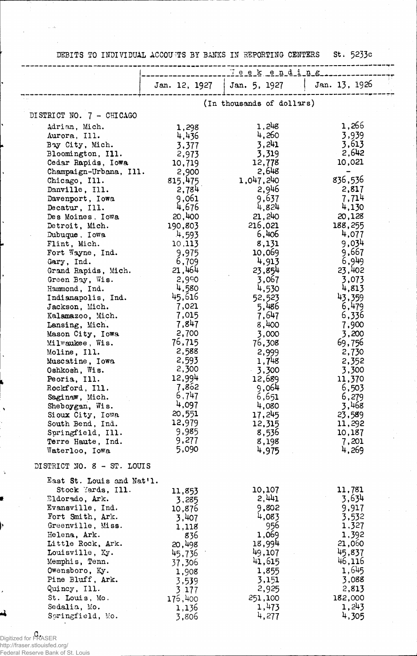DEBITS TO INDIVIDUAL ACCOUNTS BY BANKS IN REPORTING CENTERS St. 5233c

|                            | Teekending |                              |               |
|----------------------------|------------|------------------------------|---------------|
|                            |            | Jan. 12, 1927   Jan. 5, 1927 | Jan. 13, 1926 |
|                            |            |                              |               |
| DISTRICT NO. 7 - CHICAGO   |            | (In thousands of dollars)    |               |
|                            |            |                              | 1,266         |
| Adrian, Mich.              | 1,298      | 1,248                        |               |
| Aurora, Ill.               | 4,436      | 4,260                        | 3,939         |
| Bay City, Mich.            | 3,377      | 3,241                        | 3,613         |
| Bloomington, Ill.          | 2,973      | 3,319                        | 2,642         |
| Cedar Rapids, Iowa         | 10,719     | 12,778                       | 10,021        |
| Champaign-Urbana, Ill.     | 2,900      | 2,648                        |               |
| Chicago, Ill.              | 815,475    | 1,047,240                    | 836,536       |
| Danville, Ill.             | 2,784      | 2,946                        | 2,817         |
| Davenport, Iowa            | 9,061      | 9,637                        | 7,714         |
| Decatur, Ill.              | 4,676      | 4,824                        | 4,130         |
| Des Moines. Iowa           | 20,400     | 21,240                       | 20,128        |
| Detroit, Mich.             | 190,803    | 216,021                      | 188,255       |
| Dubuque, Iowa              | 4,593      | 6,406                        | 4,077         |
| Flint, Mich.               | 10,113     | 8,131                        | 9.034         |
| Fort Wayne, Ind.           | 9,975      | 10,069                       | 9,667         |
| Gary, Ind.                 | 6,709      | 4,913                        | 6,949         |
| Grand Rapids, Mich.        | 21,464     | 23,854                       | 23,402        |
| Green Bay, Wis.            | 2,990      | 3,067                        | 3,073         |
| Hammond, Ind.              | 4,580      | 4,530                        | 4,813         |
| Indianapolis, Ind.         | 45,616     | 52,523                       | 43,359        |
| Jackson, Mich.             | 7,021      | 5,486                        | 6,479         |
| Kalamazoo, Mich.           | 7,015      | 7,647                        | 6,336         |
| Lansing, Mich.             | 7,847      | 8,400                        | 7,900         |
| Mason City, Iowa           | 2,700      | 3,000                        | 3,200         |
| Milwaukee, Wis.            | 76,715     | 76,308                       | 69,756        |
| Moline, Ill.               | 2,588      |                              | 2,730         |
|                            | 2,593      | 2,999<br>1,748               |               |
| Muscatine, Iowa            | 2,300      |                              | 2,352         |
| Oshkosh, Wis.              | 12,994     | $-3,300$                     | 3,300         |
| Peoria, Ill.               | 7,862      | 12,689                       | 11,370        |
| Rockford, Ill.             |            | 9,064                        | 6,503         |
| Saginaw, Mich.             | 6,747      | 6,651                        | 6,279         |
| Sheboygan, Wis.            | 4,097      | 4,080                        | 3,468         |
| Sioux City, Iowa           | 20,551     | 17,245                       | 23,589        |
| South Bend, Ind.           | 12,979     | 12,315                       | 11,292        |
| Springfield, Ill.          | 9,985      | 8,536                        | 10,187        |
| Terre Haute, Ind.          | 9,277      | 8,198                        | 7,201         |
| Waterloo, Iowa             | 5,090      | 4,975                        | 4,269         |
| DISTRICT NO. 8 - ST. LOUIS |            |                              |               |
| East St. Louis and Nat'l.  |            |                              |               |
| Stock Yards, Ill.          | 11,853     | 10,107                       | 11,781        |
| Eldorado, Ark.             | 3,285      | 2,441                        | 3,634         |
| Evansville, Ind.           | 10,876     | 9,802                        | 9,917         |
| Fort Smith, Ark.           | 3,407      | 4,083                        | 3,532         |
| Greenville, Miss.          | 1,118      | 956                          | 1,327         |
| Helena, Ark.               | 836        | 1,069                        | 1,392         |
| Little Rock, Ark.          | 20,498     | 18,994                       | 21,060        |
| Louisville, Ky.            | 45,736     | 49,107                       | 45,837        |
| Memphis, Tenn.             | 37,306     | 41,615                       | 46,116        |
| Owensboro, Ky.             | 1,908      | 1,855                        | 1,645         |
| Pine Bluff, Ark.           | 3,539      | 3,151                        | 3,088         |
| Quincy, Ill.               | 3.177      | 2,925                        | 2,813         |
| St. Louis, Mo.             | 176,400    | 251,100                      | 182,000       |
| Sedalia, Mo.               | 1,136      | 1,473                        | 1,243         |
| Soringfield, Mo.           | 3,806      | 4,277                        | 4,305         |

c. Digitized for FRASER http://fraser.stlouisfed.org/ Federal Reserve Bank of St. Louis

 $\sim$   $\sqrt{s}$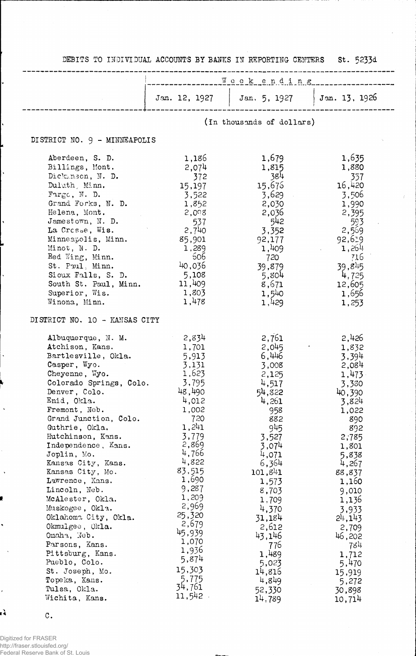|                                           |                           | __________Weekending___________________      |                 |  |
|-------------------------------------------|---------------------------|----------------------------------------------|-----------------|--|
|                                           |                           | Jan. 12, 1927   Jan. 5, 1927   Jan. 13, 1926 |                 |  |
|                                           | (In thousands of dollars) |                                              |                 |  |
| DISTRICT NO. 9 - MINNEAPOLIS              |                           |                                              |                 |  |
| Aberdeen, S. D.                           | 1,186                     | 1,679                                        | 1,635           |  |
| Billings, Mont.                           | 2,074                     | 1,815                                        | 1,880           |  |
| Dickmson, N. D.                           | 372                       | 384                                          | 357             |  |
| Duluth, Minn.                             | 15,197                    | 15,676                                       | 16,420          |  |
| $\texttt{Fargc}, \texttt{N}. \texttt{D}.$ | 3,522                     | 3,629                                        | 3,506           |  |
| Grand Forks, N. D.                        | 1,852                     | 2,030                                        | 1,990           |  |
| Helena, Mont.                             | 2,098                     | 2,036                                        | 2,395           |  |
| Jamestown, N. D.                          | 537                       | 542                                          | 593             |  |
| La Crosse, Wis.                           | 2,740                     | 3,352                                        | 2,569           |  |
| Minneapolis, Minn.<br>Minot, N. D.        | 85,901<br>1,289           | 92,177<br>1,409                              | 92,619<br>1,264 |  |
| Red Wing, Minn.                           | 606                       | 720                                          | 716             |  |
| St. Paul, Minn.                           | 40,036                    | 39,879                                       | 39,845          |  |
| Sioux Falls, S. D.                        | 5,108                     | 5,804                                        | 4,725           |  |
| South St. Paul, Minn.                     | 11,409                    | 8,671                                        | 12,605          |  |
| Superior, Wis.                            | 1,803                     | 1,540                                        | 1,656           |  |
| Winona, Minn.                             | 1,478                     | 1,429                                        | 1,253           |  |
| DISTRICT NO. 10 - KANSAS CITY             |                           |                                              |                 |  |
| Albuquerque, N. M.                        | 2,834                     | 2,761                                        | 2,426           |  |
| Atchison, Kans.                           | 1,701                     | 2,045                                        | 1,832           |  |
| Bartlesville, Okla.                       | 5,913                     | 6,446                                        | 3,394           |  |
| Casper, Wyo.                              | 3,131<br>1,623            | 3,008                                        | 2,084           |  |
| Cheyenne, Wyo.<br>Colorado Springs, Colo. | 3,795                     | 2,125                                        | 1,473           |  |
|                                           | 48,490                    | 4,517                                        | 3,330           |  |
| Denver, Colo.<br>Enid, Okla.              | 4,012                     | 54,822<br>4,261                              | 40,390          |  |
| Fremont, Neb.                             | 1,002                     | 958                                          | 3,824<br>1,022  |  |
| Grand Junction, Colo.                     | 720                       | 882                                          | 890             |  |
| Guthrie, Okla.                            | 1,241                     | 945                                          | 892             |  |
| Hutchinson, Kans.                         | 3,779                     | 3,527                                        | 2,785           |  |
| Independence, Kans.                       | 2,869                     | 3,074                                        | 1,801           |  |
| Joplin, Mo.                               | 4,766                     | 4,071                                        | 5,838           |  |
| Kansas City, Kans.                        | 4,822                     | 6,364                                        | 4,267           |  |
| Kansas City, Mo.                          | 83,515                    | 101,841                                      | 88,837          |  |
| Lawrence, Kans.                           | 1,690                     | 1,573                                        | 1,160           |  |
| Lincoln, Neb.                             | 9,287                     | 8,703                                        | 9,010           |  |
| McAlester, Okla.                          | 1,209<br>2,969            | 1,709                                        | 1,136           |  |
| Muskogee, Okla.                           | 25,320                    | 4,370                                        | 3,933           |  |
| Oklahoma City, Okla.                      | 2,679                     | 31,184                                       | 24,143          |  |
| Okmulgee, Okla.                           | 45,939                    | 2,612                                        | 2,709           |  |
| Omaha, Neb.                               | 1,070                     | 43,146                                       | 46,202          |  |
| Parsons, Kans.<br>Pittsburg, Kans.        | 1,936                     | 776                                          | 784             |  |
| Pueblo, Colo.                             | 5,874                     | 1,489<br>5,023                               | 1,712           |  |
| St. Joseph, Mo.                           | 15,303                    | 14,816                                       | 5,470<br>15,919 |  |
| Topeka, Kans.                             | 5,775                     | 4,849                                        | 5,272           |  |
| Tulsa, Okla.                              | 34,761                    | 52,330                                       | 30,898          |  |
| Wichita, Kans.                            | 11,542                    | 14,789                                       | 10,714          |  |

c.

 $\ddot{\phantom{0}}$ 

 $\ddot{\phantom{1}}$ 

,

Ą